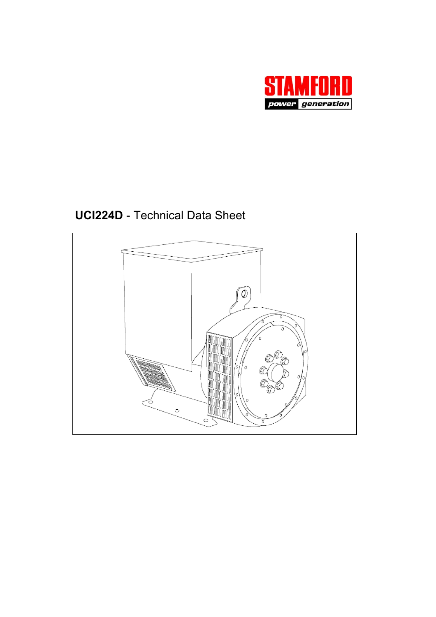

**UCI224D** - Technical Data Sheet

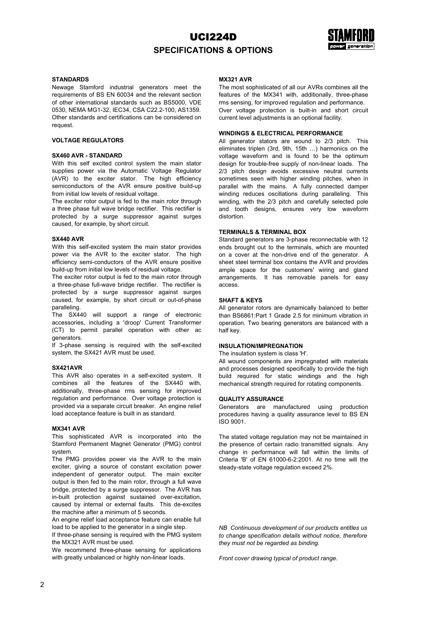# UCI224D **SPECIFICATIONS & OPTIONS**



### **STANDARDS**

Newage Stamford industrial generators meet the requirements of BS EN 60034 and the relevant section of other international standards such as BS5000, VDE 0530, NEMA MG1-32, IEC34, CSA C22.2-100, AS1359. Other standards and certifications can be considered on request.

## **VOLTAGE REGULATORS**

### **SX460 AVR - STANDARD**

With this self excited control system the main stator supplies power via the Automatic Voltage Regulator (AVR) to the exciter stator. The high efficiency semiconductors of the AVR ensure positive build-up from initial low levels of residual voltage.

The exciter rotor output is fed to the main rotor through a three phase full wave bridge rectifier. This rectifier is protected by a surge suppressor against surges caused, for example, by short circuit.

#### **SX440 AVR**

With this self-excited system the main stator provides power via the AVR to the exciter stator. The high efficiency semi-conductors of the AVR ensure positive build-up from initial low levels of residual voltage.

The exciter rotor output is fed to the main rotor through a three-phase full-wave bridge rectifier. The rectifier is protected by a surge suppressor against surges caused, for example, by short circuit or out-of-phase paralleling.

The SX440 will support a range of electronic accessories, including a 'droop' Current Transformer (CT) to permit parallel operation with other ac generators.

If 3-phase sensing is required with the self-excited system, the SX421 AVR must be used.

#### **SX421AVR**

This AVR also operates in a self-excited system. It combines all the features of the SX440 with, additionally, three-phase rms sensing for improved regulation and performance. Over voltage protection is provided via a separate circuit breaker. An engine relief load acceptance feature is built in as standard.

#### **MX341 AVR**

This sophisticated AVR is incorporated into the Stamford Permanent Magnet Generator (PMG) control system.

The PMG provides power via the AVR to the main exciter, giving a source of constant excitation power independent of generator output. The main exciter output is then fed to the main rotor, through a full wave bridge, protected by a surge suppressor. The AVR has in-built protection against sustained over-excitation, caused by internal or external faults. This de-excites the machine after a minimum of 5 seconds.

An engine relief load acceptance feature can enable full load to be applied to the generator in a single step.

If three-phase sensing is required with the PMG system the MX321 AVR must be used.

We recommend three-phase sensing for applications with greatly unbalanced or highly non-linear loads.

#### **MX321 AVR**

The most sophisticated of all our AVRs combines all the features of the MX341 with, additionally, three-phase rms sensing, for improved regulation and performance. Over voltage protection is built-in and short circuit current level adjustments is an optional facility.

### **WINDINGS & ELECTRICAL PERFORMANCE**

All generator stators are wound to 2/3 pitch. This eliminates triplen (3rd, 9th, 15th …) harmonics on the voltage waveform and is found to be the optimum design for trouble-free supply of non-linear loads. The 2/3 pitch design avoids excessive neutral currents sometimes seen with higher winding pitches, when in parallel with the mains. A fully connected damper winding reduces oscillations during paralleling. This winding, with the 2/3 pitch and carefully selected pole and tooth designs, ensures very low waveform distortion.

#### **TERMINALS & TERMINAL BOX**

Standard generators are 3-phase reconnectable with 12 ends brought out to the terminals, which are mounted on a cover at the non-drive end of the generator. A sheet steel terminal box contains the AVR and provides ample space for the customers' wiring and gland arrangements. It has removable panels for easy access.

### **SHAFT & KEYS**

All generator rotors are dynamically balanced to better than BS6861:Part 1 Grade 2.5 for minimum vibration in operation. Two bearing generators are balanced with a half key.

#### **INSULATION/IMPREGNATION**

The insulation system is class 'H'.

All wound components are impregnated with materials and processes designed specifically to provide the high build required for static windings and the high mechanical strength required for rotating components.

#### **QUALITY ASSURANCE**

Generators are manufactured using production procedures having a quality assurance level to BS EN ISO 9001.

The stated voltage regulation may not be maintained in the presence of certain radio transmitted signals. Any change in performance will fall within the limits of Criteria 'B' of EN 61000-6-2:2001. At no time will the steady-state voltage regulation exceed 2%.

*NB Continuous development of our products entitles us to change specification details without notice, therefore they must not be regarded as binding.* 

*Front cover drawing typical of product range.*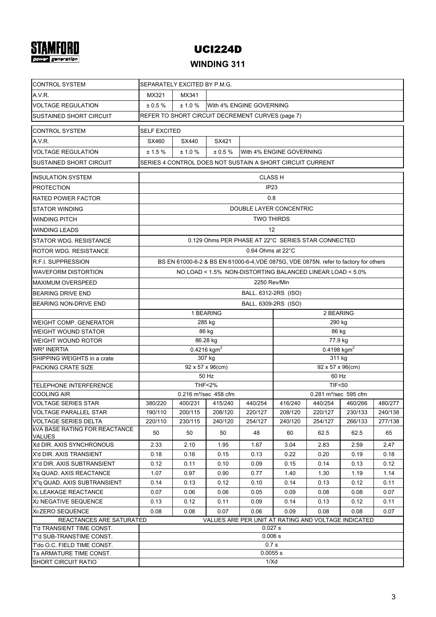# **STAMFORD**

# UCI224D

## **WINDING 311**

| <b>CONTROL SYSTEM</b>                         | SEPARATELY EXCITED BY P.M.G.                              |                                                                                      |                                   |                         |                                                       |                                                    |                    |                    |  |  |  |  |
|-----------------------------------------------|-----------------------------------------------------------|--------------------------------------------------------------------------------------|-----------------------------------|-------------------------|-------------------------------------------------------|----------------------------------------------------|--------------------|--------------------|--|--|--|--|
| A.V.R.                                        | MX321<br>MX341                                            |                                                                                      |                                   |                         |                                                       |                                                    |                    |                    |  |  |  |  |
| <b>VOLTAGE REGULATION</b>                     | ± 0.5 %<br>± 1.0 %<br>With 4% ENGINE GOVERNING            |                                                                                      |                                   |                         |                                                       |                                                    |                    |                    |  |  |  |  |
| SUSTAINED SHORT CIRCUIT                       | REFER TO SHORT CIRCUIT DECREMENT CURVES (page 7)          |                                                                                      |                                   |                         |                                                       |                                                    |                    |                    |  |  |  |  |
| <b>CONTROL SYSTEM</b>                         | <b>SELF EXCITED</b>                                       |                                                                                      |                                   |                         |                                                       |                                                    |                    |                    |  |  |  |  |
| A.V.R.                                        | SX460                                                     | SX440                                                                                | SX421                             |                         |                                                       |                                                    |                    |                    |  |  |  |  |
| <b>VOLTAGE REGULATION</b>                     | ± 1.5%                                                    | ± 1.0%<br>$\pm 0.5 \%$<br>With 4% ENGINE GOVERNING                                   |                                   |                         |                                                       |                                                    |                    |                    |  |  |  |  |
| SUSTAINED SHORT CIRCUIT                       | SERIES 4 CONTROL DOES NOT SUSTAIN A SHORT CIRCUIT CURRENT |                                                                                      |                                   |                         |                                                       |                                                    |                    |                    |  |  |  |  |
| <b>INSULATION SYSTEM</b>                      |                                                           |                                                                                      |                                   | <b>CLASS H</b>          |                                                       |                                                    |                    |                    |  |  |  |  |
| <b>PROTECTION</b>                             | IP <sub>23</sub>                                          |                                                                                      |                                   |                         |                                                       |                                                    |                    |                    |  |  |  |  |
| RATED POWER FACTOR                            | 0.8                                                       |                                                                                      |                                   |                         |                                                       |                                                    |                    |                    |  |  |  |  |
| STATOR WINDING                                |                                                           |                                                                                      |                                   | DOUBLE LAYER CONCENTRIC |                                                       |                                                    |                    |                    |  |  |  |  |
| WINDING PITCH                                 |                                                           |                                                                                      |                                   | <b>TWO THIRDS</b>       |                                                       |                                                    |                    |                    |  |  |  |  |
| <b>WINDING LEADS</b>                          |                                                           |                                                                                      |                                   | 12                      |                                                       |                                                    |                    |                    |  |  |  |  |
| STATOR WDG, RESISTANCE                        |                                                           |                                                                                      |                                   |                         |                                                       | 0.129 Ohms PER PHASE AT 22°C SERIES STAR CONNECTED |                    |                    |  |  |  |  |
| ROTOR WDG. RESISTANCE                         |                                                           |                                                                                      |                                   | 0.64 Ohms at 22°C       |                                                       |                                                    |                    |                    |  |  |  |  |
| R.F.I. SUPPRESSION                            |                                                           | BS EN 61000-6-2 & BS EN 61000-6-4, VDE 0875G, VDE 0875N. refer to factory for others |                                   |                         |                                                       |                                                    |                    |                    |  |  |  |  |
| WAVEFORM DISTORTION                           | NO LOAD < 1.5% NON-DISTORTING BALANCED LINEAR LOAD < 5.0% |                                                                                      |                                   |                         |                                                       |                                                    |                    |                    |  |  |  |  |
| <b>MAXIMUM OVERSPEED</b>                      |                                                           |                                                                                      |                                   | 2250 Rev/Min            |                                                       |                                                    |                    |                    |  |  |  |  |
| <b>BEARING DRIVE END</b>                      | BALL. 6312-2RS (ISO)                                      |                                                                                      |                                   |                         |                                                       |                                                    |                    |                    |  |  |  |  |
| BEARING NON-DRIVE END                         |                                                           |                                                                                      |                                   | BALL. 6309-2RS (ISO)    |                                                       |                                                    |                    |                    |  |  |  |  |
|                                               |                                                           |                                                                                      | 1 BEARING                         |                         |                                                       | 2 BEARING                                          |                    |                    |  |  |  |  |
| WEIGHT COMP. GENERATOR                        |                                                           |                                                                                      | 285 kg                            |                         | 290 kg                                                |                                                    |                    |                    |  |  |  |  |
| WEIGHT WOUND STATOR                           |                                                           |                                                                                      | 86 kg                             |                         | 86 kg                                                 |                                                    |                    |                    |  |  |  |  |
| WEIGHT WOUND ROTOR                            |                                                           |                                                                                      | 86.28 kg                          |                         |                                                       | 77.9 kg                                            |                    |                    |  |  |  |  |
| <b>WR<sup>2</sup> INERTIA</b>                 |                                                           |                                                                                      | $0.4216$ kgm <sup>2</sup>         |                         |                                                       | 0.4198 $kgm2$                                      |                    |                    |  |  |  |  |
| SHIPPING WEIGHTS in a crate                   |                                                           |                                                                                      | 307 kg                            |                         |                                                       | 311 kg                                             |                    |                    |  |  |  |  |
| PACKING CRATE SIZE                            |                                                           |                                                                                      | 92 x 57 x 96(cm)                  |                         |                                                       | 92 x 57 x 96(cm)                                   |                    |                    |  |  |  |  |
|                                               |                                                           |                                                                                      | 50 Hz                             |                         | 60 Hz                                                 |                                                    |                    |                    |  |  |  |  |
| TELEPHONE INTERFERENCE                        |                                                           |                                                                                      | <b>THF&lt;2%</b>                  |                         | <b>TIF&lt;50</b><br>0.281 m <sup>3</sup> /sec 595 cfm |                                                    |                    |                    |  |  |  |  |
| <b>COOLING AIR</b>                            |                                                           |                                                                                      | 0.216 m <sup>3</sup> /sec 458 cfm |                         |                                                       |                                                    |                    |                    |  |  |  |  |
| <b>VOLTAGE SERIES STAR</b>                    | 380/220                                                   | 400/231                                                                              | 415/240                           | 440/254                 | 416/240                                               | 440/254                                            | 460/266            | 480/277            |  |  |  |  |
| VOLTAGE PARALLEL STAR<br>VOLTAGE SERIES DELTA | 190/110<br>220/110                                        | 200/115<br>230/115                                                                   | 208/120<br>240/120                | 220/127<br>254/127      | 208/120<br>240/120                                    | 220/127<br>254/127                                 | 230/133<br>266/133 | 240/138<br>277/138 |  |  |  |  |
| <b>KVA BASE RATING FOR REACTANCE</b>          | 50                                                        | 50                                                                                   | 50                                | 48                      | 60                                                    | 62.5                                               | 62.5               | 65                 |  |  |  |  |
| <b>VALUES</b><br>Xd DIR. AXIS SYNCHRONOUS     | 2.33                                                      | 2.10                                                                                 | 1.95                              | 1.67                    | 3.04                                                  | 2.83                                               | 2.59               | 2.47               |  |  |  |  |
| X'd DIR. AXIS TRANSIENT                       | 0.18                                                      | 0.16                                                                                 | 0.15                              | 0.13                    | 0.22                                                  | 0.20                                               | 0.19               | 0.18               |  |  |  |  |
| X"d DIR. AXIS SUBTRANSIENT                    | 0.12                                                      | 0.11                                                                                 | 0.10                              | 0.09                    | 0.15                                                  | 0.14                                               | 0.13               | 0.12               |  |  |  |  |
| Xg QUAD. AXIS REACTANCE                       | 1.07                                                      | 0.97                                                                                 | 0.90                              | 0.77                    | 1.40                                                  | 1.30                                               | 1.19               | 1.14               |  |  |  |  |
| X"g QUAD. AXIS SUBTRANSIENT                   | 0.14                                                      | 0.13                                                                                 | 0.12                              | 0.10                    | 0.14                                                  | 0.13                                               | 0.12               | 0.11               |  |  |  |  |
| XL LEAKAGE REACTANCE                          | 0.07                                                      | 0.06                                                                                 | 0.06                              | 0.05                    | 0.09                                                  | 0.08                                               | 0.08               | 0.07               |  |  |  |  |
| X <sub>2</sub> NEGATIVE SEQUENCE              | 0.13                                                      | 0.12                                                                                 | 0.11                              | 0.09                    | 0.14                                                  | 0.13                                               | 0.12               | 0.11               |  |  |  |  |
| X <sub>0</sub> ZERO SEQUENCE                  | 0.08                                                      | 0.08                                                                                 | 0.07                              | 0.06                    | 0.09                                                  | 0.08                                               | 0.08               | 0.07               |  |  |  |  |
| REACTANCES ARE SATURATED                      | VALUES ARE PER UNIT AT RATING AND VOLTAGE INDICATED       |                                                                                      |                                   |                         |                                                       |                                                    |                    |                    |  |  |  |  |
| T'd TRANSIENT TIME CONST.                     | 0.027 s                                                   |                                                                                      |                                   |                         |                                                       |                                                    |                    |                    |  |  |  |  |
| T"d SUB-TRANSTIME CONST.                      | 0.006 s                                                   |                                                                                      |                                   |                         |                                                       |                                                    |                    |                    |  |  |  |  |
| T'do O.C. FIELD TIME CONST.                   | 0.7s                                                      |                                                                                      |                                   |                         |                                                       |                                                    |                    |                    |  |  |  |  |
| Ta ARMATURE TIME CONST.                       | 0.0055 s                                                  |                                                                                      |                                   |                         |                                                       |                                                    |                    |                    |  |  |  |  |
| SHORT CIRCUIT RATIO                           | 1/Xd                                                      |                                                                                      |                                   |                         |                                                       |                                                    |                    |                    |  |  |  |  |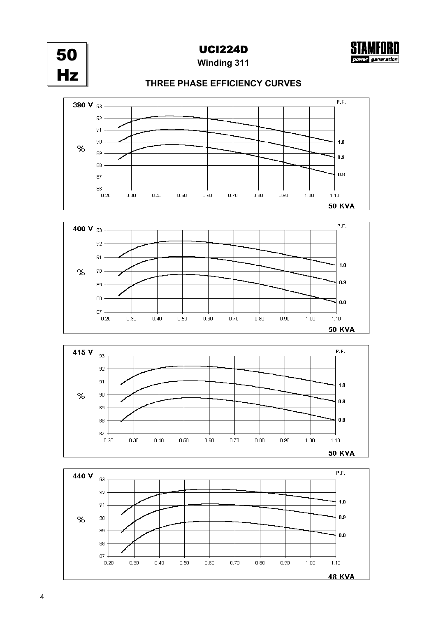

**UCI224D** 



**Winding 311** 

## THREE PHASE EFFICIENCY CURVES







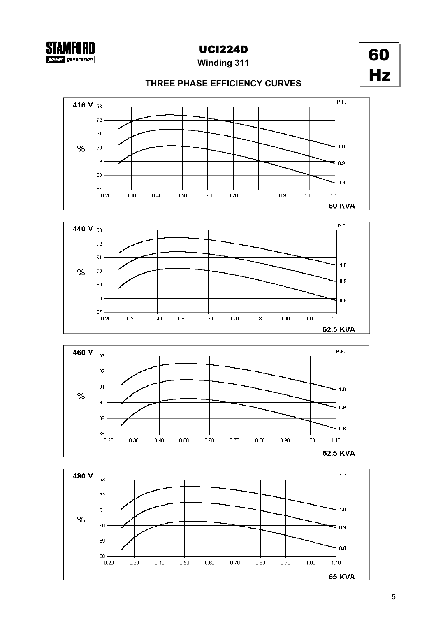

**Winding 311** 



## THREE PHASE EFFICIENCY CURVES







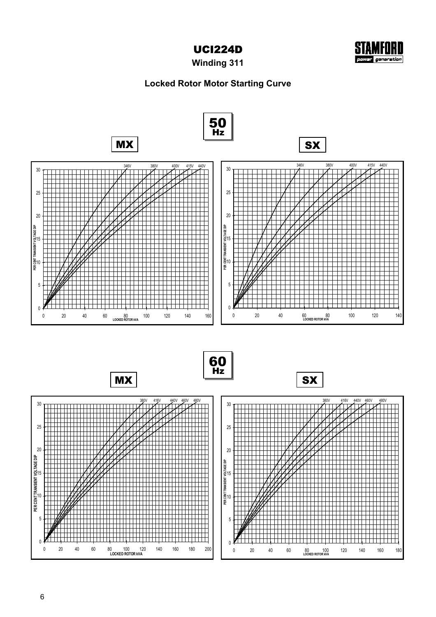



**Winding 311**

## **Locked Rotor Motor Starting Curve**

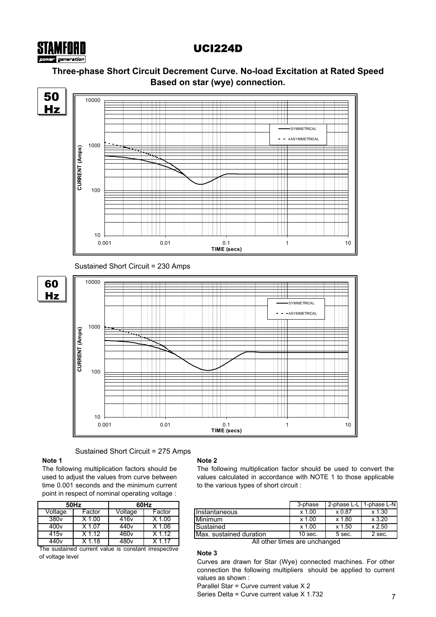# UCI224D

## **Three-phase Short Circuit Decrement Curve. No-load Excitation at Rated Speed Based on star (wye) connection.**



Sustained Short Circuit = 275 Amps

## **Note 1**

STAMFORI

The following multiplication factors should be used to adjust the values from curve between time 0.001 seconds and the minimum current point in respect of nominal operating voltage :

|                  | 50Hz     | 60Hz             |          |  |  |  |  |  |
|------------------|----------|------------------|----------|--|--|--|--|--|
| Voltage          | Factor   | Voltage          | Factor   |  |  |  |  |  |
| 380 <sub>v</sub> | $X$ 1.00 | 416 <sub>v</sub> | $X$ 1.00 |  |  |  |  |  |
| 400v             | X 1.07   | 440 <sub>v</sub> | $X$ 1.06 |  |  |  |  |  |
| 415v             | $X$ 1.12 | 460 <sub>v</sub> | $X$ 1.12 |  |  |  |  |  |
| 440 <sub>v</sub> | X 1.18   | 480v             | X 1 17   |  |  |  |  |  |

The sustained current value is constant irrespective of voltage level

## **Note 2**

The following multiplication factor should be used to convert the values calculated in accordance with NOTE 1 to those applicable to the various types of short circuit :

| 50Hz              |        |                  | 60Hz   |                         | 3-phase    | 2-phase L-L | 1-phase L-N |  |
|-------------------|--------|------------------|--------|-------------------------|------------|-------------|-------------|--|
| Voltage           | Factor | Voltage          | Factor | <b>Instantaneous</b>    | .00<br>x 1 | x 0.87      | x 1.30      |  |
| 380 <sub>V</sub>  | .00    | 416v             | .00    | Minimum                 | .00<br>x 1 | x 1.80      | x 3.20      |  |
| 400v              | . 07   | 440v             | .06    | Sustained               | .00<br>x 1 | x 1.50      | x 2.50      |  |
| $\overline{415}v$ | .12    | 460 <sub>v</sub> | .12    | Max. sustained duration | 10 sec.    | 5 sec.      | 2 sec.      |  |
| .                 | .      | .                | .      | $\cdots$                |            |             |             |  |

All other times are unchanged

## **Note 3**

Curves are drawn for Star (Wye) connected machines. For other connection the following multipliers should be applied to current values as shown :

Parallel Star = Curve current value X 2

Series Delta = Curve current value X 1.732